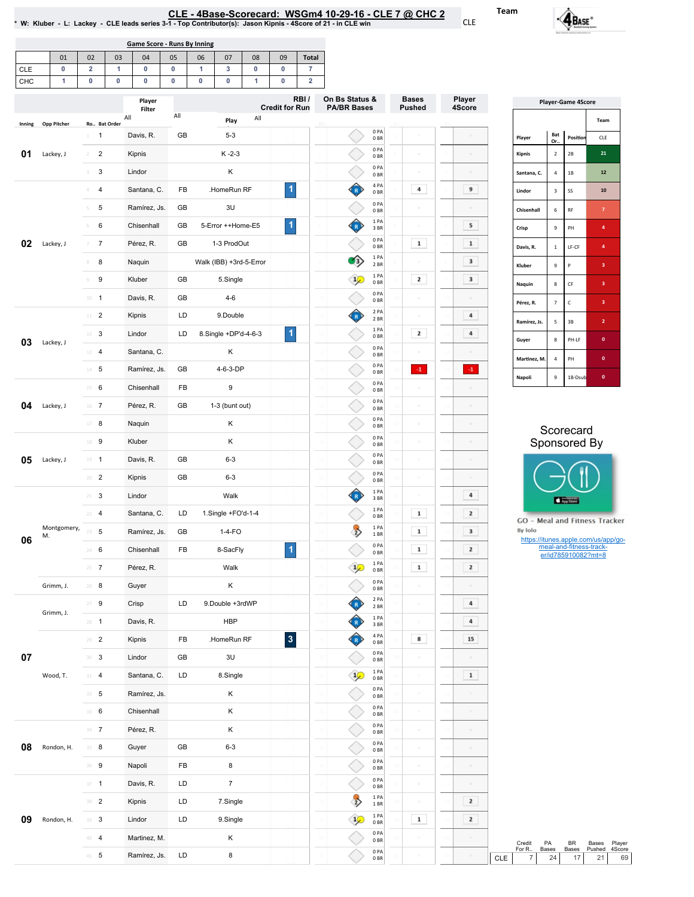## E<u>LE - 4Base-Scorecard: WSGm4 10-29-16 - CLE 7 @ CHC 2</u><br>W: Kluber - L: Lackey - CLE leads series 3-1 - Top Contributor(s): Jason Kipnis - 4Score of 21 - in CLE win \*

|     | Game Score - Runs By Inning |    |    |    |    |    |    |    |    |              |  |  |
|-----|-----------------------------|----|----|----|----|----|----|----|----|--------------|--|--|
|     | 01                          | 02 | 03 | 04 | 05 | 06 | 07 | 08 | 09 | <b>Total</b> |  |  |
| CLE |                             |    |    |    |    |    |    |    |    |              |  |  |
| CHC |                             |    |    |    |    |    |    |    |    |              |  |  |
|     |                             |    |    |    |    |    |    |    |    |              |  |  |

|        |                    |                            |               | RBI/<br><b>Credit for Run</b> |                         | On Bs Status &<br><b>PA/BR Bases</b> |                         | <b>Bases</b><br><b>Pushed</b> | Player<br>4Score        | <b>Player-Game 4Score</b>                |                          |                           |                                           |
|--------|--------------------|----------------------------|---------------|-------------------------------|-------------------------|--------------------------------------|-------------------------|-------------------------------|-------------------------|------------------------------------------|--------------------------|---------------------------|-------------------------------------------|
| Inning | <b>Opp Pitcher</b> | Ro Bat Order               | Filter<br>All | All<br>All<br>Play            |                         |                                      |                         |                               |                         |                                          |                          |                           | Team                                      |
|        |                    | $1 \quad 1$                | Davis, R.     | GB<br>$5 - 3$                 |                         |                                      | 0PA<br>0BR              |                               |                         | Player                                   | Bat<br>Or.               | Position                  | CLE                                       |
| 01     | Lackey, J          | $\overline{2}$<br>$2 -$    | Kipnis        | $K - 2 - 3$                   |                         |                                      | 0PA<br>0BR              |                               |                         | Kipnis                                   | $\overline{2}$           | 2B                        | $21\,$                                    |
|        |                    | 3<br>$_{3}$ $\,$           | Lindor        | Κ                             |                         |                                      | 0PA<br>0BR              |                               |                         | Santana, C.                              | $\overline{4}$           | $1\mathrm{B}$             | $12\,$                                    |
|        |                    | $\overline{4}$<br>4        | Santana, C.   | FB<br>.HomeRun RF             | $\overline{1}$          | σ                                    | 4 PA<br>0BR             | 4                             | 9                       | Lindor                                   | $\mathbf{3}$             | SS                        | ${\bf 10}$                                |
|        |                    | 5<br>5                     | Ramírez, Js.  | 3U<br>GB                      |                         |                                      | 0PA<br>0BR              |                               |                         | Chisenhall                               | 6                        | $\mathsf{RF}$             | $\overline{\textbf{z}}$                   |
|        |                    | 6<br>6                     | Chisenhall    | GB<br>5-Error ++Home-E5       | $\blacktriangleleft$    | ô                                    | 1 PA<br>3 BR            |                               | 5                       | Crisp                                    | 9                        | PH                        | $\blacktriangleleft$                      |
| 02     | Lackey, J          | $7-7$                      | Pérez, R.     | GB<br>1-3 ProdOut             |                         |                                      | 0PA<br>0BR              | $\mathbf 1$                   | $\mathbf 1$             | Davis, R.                                | $\,1\,$                  | LF-CF                     | $\blacktriangleleft$                      |
|        |                    | 8<br>8                     | Naquin        | Walk (IBB) +3rd-5-Error       |                         | $\circ$                              | 1PA<br>2 BR             |                               | $\overline{\mathbf{3}}$ | Kluber                                   | 9                        | $\,$ P                    | 3                                         |
|        |                    | 9<br>9                     | Kluber        | GB<br>5.Single                |                         | $\mathcal{L}$                        | 1 PA<br>0 <sub>BR</sub> | $\mathbf{2}$                  | 3                       | Naquin                                   | 8                        | $\mathsf{CF}$             | 3                                         |
|        |                    | $10 - 1$                   | Davis, R.     | GB<br>$4 - 6$                 |                         |                                      | 0PA<br>0BR              |                               |                         | Pérez, R.                                | $\overline{\phantom{a}}$ | $\mathsf{C}$              | 3                                         |
|        |                    | $11$ – $2$                 | Kipnis        | LD<br>9.Double                |                         | Ô                                    | 2 PA<br>2 BR            |                               | 4                       | Ramírez, Js.                             | 5                        | $3B$                      | $\mathbf{2}$                              |
|        |                    | $12 \t3$                   | Lindor        | 8.Single +DP'd-4-6-3<br>LD    | $\blacktriangleleft$    |                                      | 1PA<br>0BR              | $\mathbf{z}$                  | 4                       |                                          | 8                        | PH-LF                     | $\mathbf 0$                               |
| 03     | Lackey, J          | 13 4                       | Santana, C.   | Κ                             |                         |                                      | 0PA<br>0BR              |                               |                         | Guyer                                    |                          |                           |                                           |
|        |                    | $14$ 5                     | Ramírez, Js.  | GB<br>4-6-3-DP                |                         |                                      | 0PA<br>0BR              | $\cdot 1$                     | $\cdot 1$               | Martinez, M.                             | 4                        | PH                        | $\mathbf 0$                               |
|        |                    | $15 \t 6$                  | Chisenhall    | FB<br>$\boldsymbol{9}$        |                         |                                      | 0PA<br>0BR              |                               |                         | Napoli                                   | 9                        | 1B-Dsub                   | $\mathbf 0$                               |
| 04     | Lackey, J          | $16$ 7                     | Pérez, R.     | GB<br>1-3 (bunt out)          |                         |                                      | 0PA<br>0BR              |                               |                         |                                          |                          |                           |                                           |
|        |                    | 17 8                       | Naquin        | Κ                             |                         |                                      | 0PA<br>0BR              |                               |                         |                                          |                          |                           |                                           |
|        |                    | 18 9                       | Kluber        | Κ                             |                         |                                      | 0PA<br>0BR              | $\alpha$                      |                         |                                          |                          | Scorecard<br>Sponsored By |                                           |
| 05     | Lackey, J          | $19 - 1$                   | Davis, R.     | GB<br>$6 - 3$                 |                         |                                      | 0PA<br>0BR              |                               |                         |                                          |                          |                           |                                           |
|        |                    | $20 - 2$                   | Kipnis        | $6 - 3$<br>GB                 |                         |                                      | 0PA<br>0BR              |                               |                         |                                          |                          |                           |                                           |
|        |                    | $21 - 3$                   | Lindor        | Walk                          |                         | $\bullet$                            | 1PA<br>3 BR             |                               | 4                       |                                          |                          | App Store                 |                                           |
|        |                    | $22 \, 4$                  | Santana, C.   | 1.Single +FO'd-1-4<br>LD      |                         |                                      | 1PA<br>0BR              | $\mathbf 1$                   | $\mathbf{2}$            |                                          |                          |                           |                                           |
|        | Montgomery,<br>M.  | 23<br>5                    | Ramírez, Js.  | GB<br>$1-4-FO$                |                         | $\rightarrow$                        | 1 PA<br>1 BR            | $\mathbf 1$                   | 3                       | By Iolo                                  |                          |                           | GO - Meal and Fitness Tracker             |
| 06     |                    | 24 6                       | Chisenhall    | FB<br>8-SacFly                | 1                       |                                      | 0PA<br>0 <sub>BR</sub>  | $\mathbf 1$                   | $\mathbf{z}$            |                                          |                          | meal-and-fitness-track-   | https://itunes.apple.com/us/app/go-       |
|        |                    | $25 \t 7$                  | Pérez, R.     | Walk                          |                         | $\mathcal{L}$                        | 1PA<br>0BR              | $\mathbf 1$                   | $\mathbf{z}$            |                                          |                          | er/id785910082?mt=8       |                                           |
|        | Grimm, J.          | 26 8                       | Guyer         | Κ                             |                         |                                      | 0PA<br>0BR              |                               |                         |                                          |                          |                           |                                           |
|        |                    | $27$ 9                     | Crisp         | LD<br>9.Double +3rdWP         |                         |                                      | 2 PA<br>2 BR            |                               | $\overline{4}$          |                                          |                          |                           |                                           |
|        | Grimm, J.          | $28 - 1$                   | Davis, R.     | <b>HBP</b>                    |                         |                                      | 1PA<br>3BR              |                               | 4                       |                                          |                          |                           |                                           |
|        |                    | $29 - 2$                   | Kipnis        | FB<br>.HomeRun RF             | $\overline{\mathbf{3}}$ | $\vert \mathbf{R} \vert$             | 4 PA<br>0BR             | 8                             | 15                      |                                          |                          |                           |                                           |
| 07     |                    | $\mathbf{30} - \mathbf{3}$ | Lindor        | 3U<br>GB                      |                         |                                      | 0PA<br>0BR              |                               |                         |                                          |                          |                           |                                           |
|        | Wood, T.           | $31 - 4$                   | Santana, C.   | LD<br>8.Single                |                         | $\mathcal{P}$                        | 1 PA<br>0BR             | $\equiv$                      | $\mathbf 1$             |                                          |                          |                           |                                           |
|        |                    | $32 - 5$                   | Ramírez, Js.  | Κ                             |                         |                                      | 0PA<br>0BR              |                               |                         |                                          |                          |                           |                                           |
|        |                    | 33 6                       | Chisenhall    | Κ                             |                         |                                      | 0PA<br>0BR              |                               |                         |                                          |                          |                           |                                           |
|        |                    | $34 \t7$                   | Pérez, R.     | Κ                             |                         |                                      | 0PA<br>0B               |                               |                         |                                          |                          |                           |                                           |
| 08     | Rondon, H.         | $35 - 8$                   | Guyer         | GB<br>$6 - 3$                 |                         |                                      | 0PA<br>0BR              | $\equiv$                      |                         |                                          |                          |                           |                                           |
|        |                    | $36$ <b>9</b>              | Napoli        | 8<br>FB                       |                         |                                      | 0PA<br>0BR              |                               |                         |                                          |                          |                           |                                           |
|        |                    | $37 - 1$                   | Davis, R.     | $\overline{7}$<br>LD          |                         |                                      | 0PA<br>0BR              | $\Box$                        |                         |                                          |                          |                           |                                           |
|        |                    | $38$ 2                     | Kipnis        | LD<br>7.Single                |                         | $\rightarrow$                        | 1 PA<br>1 BR            |                               | $\mathbf{z}$            |                                          |                          |                           |                                           |
| 09     | Rondon, H.         | $39$ 3                     | Lindor        | LD<br>9.Single                |                         | $\mathcal{L}$                        | 1PA<br>0B               | $\mathbf 1$                   | $\mathbf{2}$            |                                          |                          |                           |                                           |
|        |                    | $40 - 4$                   | Martinez, M.  | Κ                             |                         |                                      | 0PA<br>0BR              |                               |                         |                                          |                          |                           |                                           |
|        |                    | $41 - 5$                   | Ramírez, Js.  | 8<br>LD                       |                         |                                      | 0PA<br>0BR              |                               |                         | Credit<br>For R<br>CLE<br>$\overline{7}$ | PA<br>Bases<br>24        | BR<br>Bases<br>17         | Player<br>Bases<br>4Score<br>Pushed<br>21 |

|             |                         | <b>Player-Game 4Score</b> |                |
|-------------|-------------------------|---------------------------|----------------|
|             |                         |                           | Team           |
| Player      | Bat<br>Or               | Position                  | CLE            |
| Kipnis      | $\overline{\mathbf{c}}$ | 2B                        | 21             |
| Santana, C. | 4                       | 1B                        | 12             |
| Lindor      | 3                       | SS                        | 10             |
| Chisenhall  | 6                       | <b>RF</b>                 | $\overline{7}$ |
| Crisp       | 9                       | PH                        | 4              |
| Davis, R.   | $\mathbf{1}$            | LF-CF                     | 4              |
| Kluber      | 9                       | P                         | 3              |
| Naquin      | 8                       | CF                        | 3              |

| App Store |
|-----------|



Team

CLE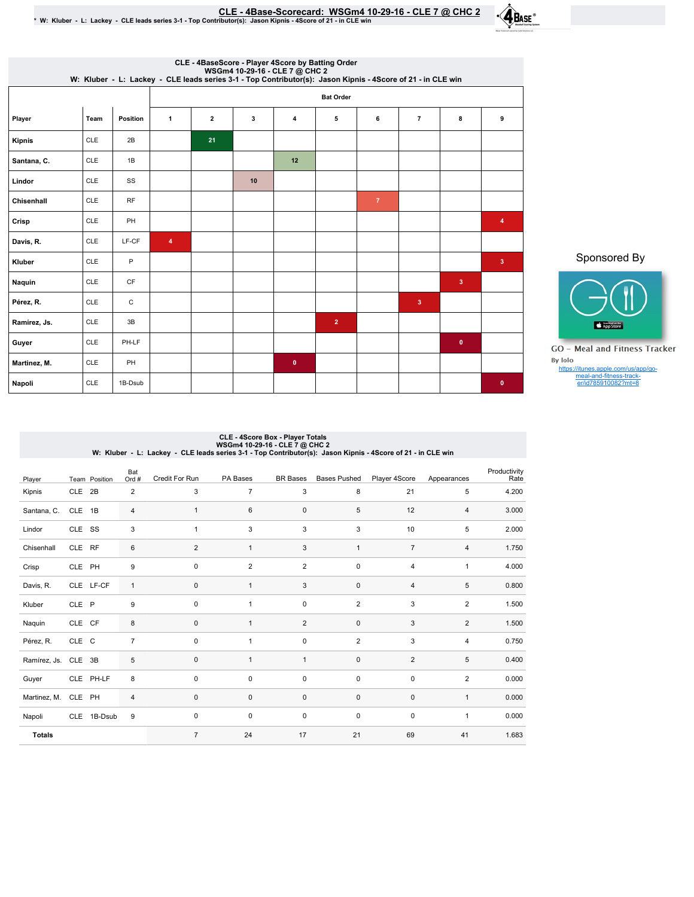|                                                                                                                      | CLE - 4Base-Scorecard: WSGm4 10-29-16 - CLE 7 @ CHC 2 |
|----------------------------------------------------------------------------------------------------------------------|-------------------------------------------------------|
| * W:  Kluber  -  L:  Lackey  -  CLE leads series 3-1 - Top Contributor(s):  Jason Kipnis - 4Score of 21 - in CLE win |                                                       |



|             |            |                 |                |                  |    | WSGm4 10-29-16 - CLE 7 @ CHC 2 | CLE - 4BaseScore - Player 4Score by Batting Order<br>W: Kluber - L: Lackey - CLE leads series 3-1 - Top Contributor(s): Jason Kipnis - 4Score of 21 - in CLE win |                |                |   |                         |  |  |  |  |
|-------------|------------|-----------------|----------------|------------------|----|--------------------------------|------------------------------------------------------------------------------------------------------------------------------------------------------------------|----------------|----------------|---|-------------------------|--|--|--|--|
|             |            |                 |                | <b>Bat Order</b> |    |                                |                                                                                                                                                                  |                |                |   |                         |  |  |  |  |
| Player      | Team       | <b>Position</b> | 1              | $\overline{2}$   | 3  | 4                              | 5                                                                                                                                                                | 6              | $\overline{7}$ | 8 | 9                       |  |  |  |  |
| Kipnis      | <b>CLE</b> | 2B              |                | 21               |    |                                |                                                                                                                                                                  |                |                |   |                         |  |  |  |  |
| Santana, C. | <b>CLE</b> | 1B              |                |                  |    | 12                             |                                                                                                                                                                  |                |                |   |                         |  |  |  |  |
| Lindor      | <b>CLE</b> | SS              |                |                  | 10 |                                |                                                                                                                                                                  |                |                |   |                         |  |  |  |  |
| Chisenhall  | <b>CLE</b> | <b>RF</b>       |                |                  |    |                                |                                                                                                                                                                  | $\overline{7}$ |                |   |                         |  |  |  |  |
| Crisp       | <b>CLE</b> | PH              |                |                  |    |                                |                                                                                                                                                                  |                |                |   | $\overline{4}$          |  |  |  |  |
| Davis, R.   | <b>CLE</b> | LF-CF           | $\overline{4}$ |                  |    |                                |                                                                                                                                                                  |                |                |   |                         |  |  |  |  |
| Kluber      | <b>CLE</b> | P               |                |                  |    |                                |                                                                                                                                                                  |                |                |   | $\overline{\mathbf{3}}$ |  |  |  |  |
| Naquin      | <b>CLE</b> | <b>CF</b>       |                |                  |    |                                |                                                                                                                                                                  |                |                | 3 |                         |  |  |  |  |
| Pérez, R.   | <b>CLE</b> | C               |                |                  |    |                                |                                                                                                                                                                  |                | 3              |   |                         |  |  |  |  |

Ramírez, Js. CLE 3B Guyer CLE PH-LF Martinez, M. CLE PH Napoli CLE 1B-Dsub Sponsored By



GO - Meal and Fitness Tracker By Iolo https://itunes.apple.com/us/app/go-meal-and-fitness-track-er/id785910082?mt=8

## CLE - 4Score Box - Player Totals<br>W: Kluber - L: Lackey - CLE leads series 3-1 - Top Contributor(s): Jason Kipnis - 4Score of 21 - in CLE win<br>W: Kluber - L: Lackey - CLE leads series 3-1 - Top Contributor(s):

| Player              |        | Team Position | Bat<br>Ord #   | Credit For Run | PA Bases       | <b>BR</b> Bases | <b>Bases Pushed</b> | Player 4Score  | Appearances    | Productivity<br>Rate |
|---------------------|--------|---------------|----------------|----------------|----------------|-----------------|---------------------|----------------|----------------|----------------------|
| Kipnis              | CLE    | 2B            | $\overline{2}$ | 3              | $\overline{7}$ | 3               | 8                   | 21             | 5              | 4.200                |
| Santana, C.         | CLE 1B |               | 4              | $\mathbf{1}$   | 6              | 0               | 5                   | 12             | $\overline{4}$ | 3.000                |
| Lindor              | CLE SS |               | 3              | 1              | 3              | 3               | 3                   | 10             | 5              | 2.000                |
| Chisenhall          | CLE RF |               | 6              | $\overline{2}$ | 1              | 3               | $\mathbf{1}$        | $\overline{7}$ | 4              | 1.750                |
| Crisp               | CLE PH |               | 9              | $\mathbf 0$    | $\overline{2}$ | $\overline{2}$  | $\mathbf 0$         | 4              | $\mathbf{1}$   | 4.000                |
| Davis, R.           |        | CLE LF-CF     | $\mathbf{1}$   | $\mathbf 0$    | $\mathbf{1}$   | 3               | $\pmb{0}$           | 4              | 5              | 0.800                |
| Kluber              | CLE P  |               | 9              | $\mathbf 0$    | 1              | $\mathbf 0$     | $\overline{2}$      | 3              | $\overline{2}$ | 1.500                |
| Naquin              | CLE CF |               | 8              | $\mathbf{0}$   | $\mathbf{1}$   | $\overline{2}$  | $\mathbf 0$         | 3              | $\overline{2}$ | 1.500                |
| Pérez, R.           | CLE C  |               | $\overline{7}$ | $\mathbf 0$    | 1              | $\mathbf 0$     | $\overline{2}$      | 3              | $\overline{4}$ | 0.750                |
| Ramírez, Js. CLE 3B |        |               | 5              | $\mathbf{0}$   | $\mathbf{1}$   | $\mathbf{1}$    | $\mathbf 0$         | $\overline{2}$ | 5              | 0.400                |
| Guyer               |        | CLE PH-LF     | 8              | 0              | 0              | $\pmb{0}$       | 0                   | 0              | $\overline{2}$ | 0.000                |
| Martinez, M.        | CLE PH |               | 4              | 0              | $\mathbf{0}$   | $\mathbf 0$     | $\mathbf 0$         | $\mathbf 0$    | $\mathbf{1}$   | 0.000                |
| Napoli              | CLE    | 1B-Dsub       | 9              | 0              | $\mathbf 0$    | $\mathbf 0$     | $\mathbf 0$         | $\mathbf 0$    | $\mathbf{1}$   | 0.000                |
| <b>Totals</b>       |        |               |                | $\overline{7}$ | 24             | 17              | 21                  | 69             | 41             | 1.683                |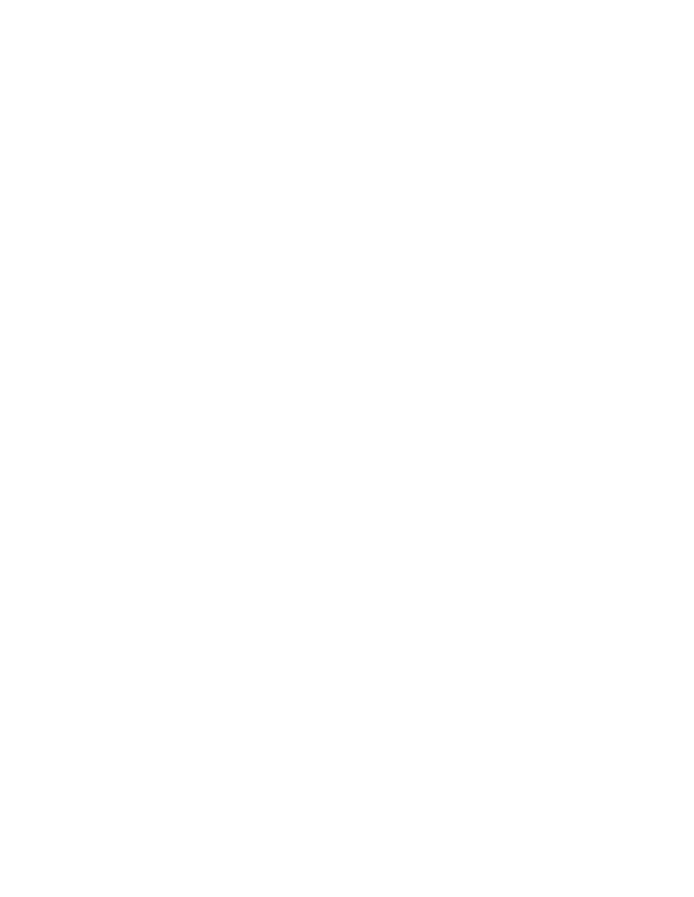|                                |  | %DVH6FRUHFDLG: 6*P                  |             | $# 8 + 8$<br>8/6 |  |
|--------------------------------|--|-------------------------------------|-------------|------------------|--|
| .OXEHU / /DFNH\ &/(OHDGVVHULHV |  | 7RS&RQMLEXWRUV - DVRQ.LSQLV 6FRUHRI | $108/7$ ZIO |                  |  |

| &/(%DVH6FRUH 300\HU 6FRUHE\%DWLQJ2UGHU<br>$:6*P$<br>$8/($ # $8+8$<br>: .0XEHU / / DFNH & / ( OHDGV VHULHV 7RS & ROWNLEXWRUV - DVRQ .LSQLV 6FRUHRI |        |          |  |  |  |  |           |  |  |            |  |
|---------------------------------------------------------------------------------------------------------------------------------------------------|--------|----------|--|--|--|--|-----------|--|--|------------|--|
|                                                                                                                                                   |        |          |  |  |  |  |           |  |  | LQ&/ ( ZLQ |  |
|                                                                                                                                                   |        |          |  |  |  |  | %DW2 UGHU |  |  |            |  |
| 300 HU                                                                                                                                            | 7HDP   | 3 RVIMRQ |  |  |  |  |           |  |  |            |  |
| . LSQLV                                                                                                                                           | $8/$ ( | %        |  |  |  |  |           |  |  |            |  |
| 6DQMXQD &                                                                                                                                         | $8/$ ( | %        |  |  |  |  |           |  |  |            |  |
| / LQGRU                                                                                                                                           | $8/$ ( | 66       |  |  |  |  |           |  |  |            |  |
| & KLVHQKDOD                                                                                                                                       | $8/$ ( | 5)       |  |  |  |  |           |  |  |            |  |
| &WS                                                                                                                                               | $8/$ ( | $3+$     |  |  |  |  |           |  |  |            |  |
| ' DYLV 5                                                                                                                                          | $8/$ ( | $( )$ &) |  |  |  |  |           |  |  |            |  |
| . <b>OXEHU</b>                                                                                                                                    | $8/$ ( | 3        |  |  |  |  |           |  |  |            |  |
| 1 DTXLQ                                                                                                                                           | $8/$ ( | &)       |  |  |  |  |           |  |  |            |  |
| $3pUH$ 5                                                                                                                                          | $8/$ ( | &        |  |  |  |  |           |  |  |            |  |
| 5DPtUH - V                                                                                                                                        | $8/$ ( | %        |  |  |  |  |           |  |  |            |  |
| $*$ X\HU                                                                                                                                          | $8/$ ( | $3+7$    |  |  |  |  |           |  |  |            |  |
| 0 DUMCH 0                                                                                                                                         | $8/$ ( | $3+$     |  |  |  |  |           |  |  |            |  |
| 1 DSRQ                                                                                                                                            | $8/$ ( | %' VXE   |  |  |  |  |           |  |  |            |  |

**6 SROVRUHG%** 

<u>KWON WACH VDSSOHERP XVDSSJR</u><br>PHOCOGGILMOHWWOFN<br><u>HUIG "PW</u>

|                    |             |                |                   |                 | $8/$ (<br>: $6*$ P | 6 FRUH%R[ 300\HU7RW00V<br>$8/($ # $8+8$ |                                                                               |  |                |                    |
|--------------------|-------------|----------------|-------------------|-----------------|--------------------|-----------------------------------------|-------------------------------------------------------------------------------|--|----------------|--------------------|
|                    |             |                |                   |                 |                    |                                         | : .0XEHU / / DFNH & / ( OHDGV VHULHV 7RS & ROWLEXWRUV - DVRQ . LSQLV 6 FRUHRI |  | $LQ&V$ ( $ZLQ$ |                    |
| 30 NU              |             | 7HDP 3RVMLIRQ  | %DW<br>$2 \cup 5$ | & UHGLV) RU5 XQ | 3\$ %DMHV          |                                         | %5 %DVHV %DVHV3XVKHG 300 HU6FRUH \$SSHDUDQFHV                                 |  |                | 3 URGXFWYUW<br>5DM |
| . ISQV             | $8/($ %     |                |                   |                 |                    |                                         |                                                                               |  |                |                    |
| 6DQARGD &          | &/(         | $\%$           |                   |                 |                    |                                         |                                                                               |  |                |                    |
| / LOGRU            | $8/$ (66    |                |                   |                 |                    |                                         |                                                                               |  |                |                    |
| & KILVHOKDOD       | 8/(5)       |                |                   |                 |                    |                                         |                                                                               |  |                |                    |
| &ULAS              | $8/(3+$     |                |                   |                 |                    |                                         |                                                                               |  |                |                    |
| 'DYLV 5            |             | $8/($ $/$ $8)$ |                   |                 |                    |                                         |                                                                               |  |                |                    |
| . OXEHU            | 8/(3)       |                |                   |                 |                    |                                         |                                                                               |  |                |                    |
| 1 DTXIQ            | 8/(8)       |                |                   |                 |                    |                                         |                                                                               |  |                |                    |
| 3p明 5              | 8/(8)       |                |                   |                 |                    |                                         |                                                                               |  |                |                    |
| 5 DP tUH - V &/ (% |             |                |                   |                 |                    |                                         |                                                                               |  |                |                    |
| $*$ X HU           |             | $&(3 + 1)$     |                   |                 |                    |                                         |                                                                               |  |                |                    |
| 0 DUMCH 0          | $8/$ ( $3+$ |                |                   |                 |                    |                                         |                                                                               |  |                |                    |
| 1 DSRO             |             | &/ (%' VXE     |                   |                 |                    |                                         |                                                                               |  |                |                    |
| 7RWDOV             |             |                |                   |                 |                    |                                         |                                                                               |  |                |                    |
|                    |             |                |                   |                 |                    |                                         |                                                                               |  |                |                    |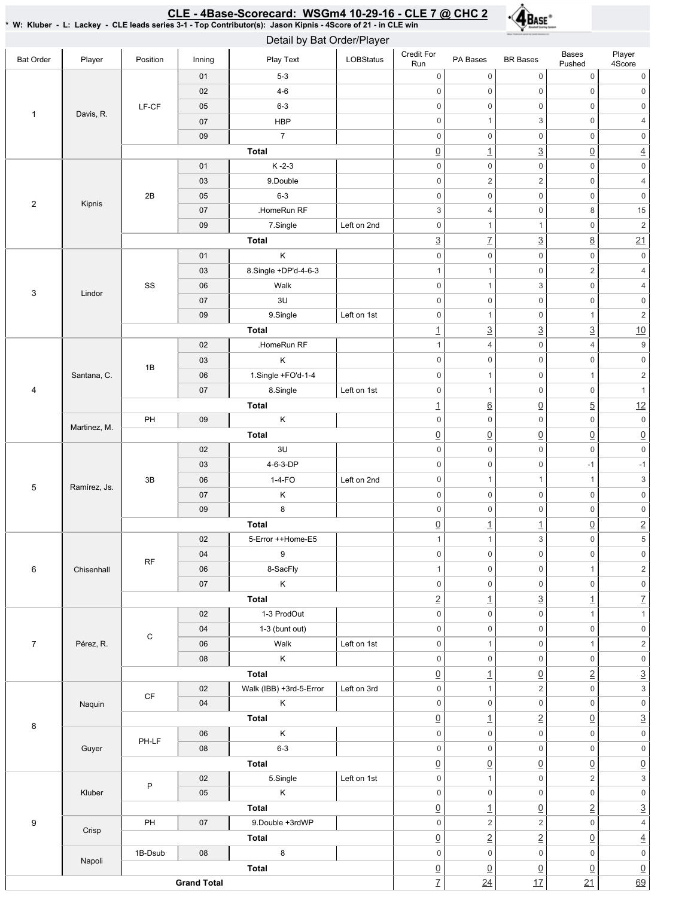## <u>CLE - 4Base-Scorecard: WSGm4 10-29-16 - CLE 7 @ CHC 2</u>

\*W:Kluber-L:Lackey-CLEleadsseries3-1-TopContributor(s):JasonKipnis-4Scoreof21-inCLEwin DetailbyBatOrder/Player



| <b>Bat Order</b> | Player       | Position               | Inning             | Detail by Dat Orger/Flayer<br>Play Text | LOBStatus      | Credit For           | PA Bases                       | <b>BR</b> Bases           | Bases                          | Player                           |
|------------------|--------------|------------------------|--------------------|-----------------------------------------|----------------|----------------------|--------------------------------|---------------------------|--------------------------------|----------------------------------|
|                  |              |                        | 01                 | $5 - 3$                                 |                | Run<br>$\mathsf 0$   | $\mathsf{O}\xspace$            | $\mathbf 0$               | Pushed<br>$\mathsf{O}\xspace$  | 4Score<br>$\mathsf 0$            |
|                  |              |                        | 02                 | $4 - 6$                                 |                | $\mathsf 0$          | $\mathbb O$                    | $\mathbf 0$               | $\mathsf 0$                    | $\mathsf 0$                      |
|                  |              | $LF-CF$                | 05                 | $6 - 3$                                 |                | $\mathsf 0$          | $\mathsf{O}\xspace$            | $\mathbf 0$               | $\mathsf 0$                    | $\mathsf{O}\xspace$              |
| $\mathbf{1}$     | Davis, R.    |                        | 07                 | <b>HBP</b>                              |                | $\mathsf 0$          | $\mathbf{1}$                   | 3                         | $\mathsf 0$                    | $\overline{4}$                   |
|                  |              |                        | 09                 | $\overline{7}$                          |                | $\mathbf 0$          | $\mathbb O$                    | $\mathbf 0$               | $\mathsf 0$                    | $\mathsf{O}\xspace$              |
|                  |              |                        |                    | <b>Total</b>                            |                | $\underline{0}$      | $\overline{1}$                 | $\underline{3}$           | $\underline{0}$                | $\underline{4}$                  |
|                  |              |                        | 01                 | $K - 2 - 3$                             |                | $\mathbf 0$          | $\mathbb O$                    | $\mathbf 0$               | $\mathsf 0$                    | $\mathsf{O}\xspace$              |
|                  |              |                        | 03                 | 9.Double                                |                | $\mathbb O$          | $\overline{2}$                 | $\overline{2}$            | $\mathsf 0$                    | $\overline{4}$                   |
|                  |              | 2B                     | 05                 | $6 - 3$                                 |                | $\mathsf{O}\xspace$  | $\mathsf{O}\xspace$            | $\mathbf 0$               | $\mathsf 0$                    | $\mathbb O$                      |
| $\overline{2}$   | Kipnis       |                        | 07                 | .HomeRun RF                             |                | 3                    | $\overline{4}$                 | $\mathbf 0$               | 8                              | $15\,$                           |
|                  |              |                        | 09                 | 7.Single                                | Left on 2nd    | $\boldsymbol{0}$     | $\mathbf{1}$                   | $\mathbf{1}$              | $\mathsf{O}\xspace$            | $\sqrt{2}$                       |
|                  |              |                        |                    | <b>Total</b>                            |                | $\underline{3}$      | $\underline{7}$                | $\overline{3}$            | $\underline{8}$                | 21                               |
|                  |              |                        | 01                 | $\sf K$                                 |                | $\mathbf 0$          | $\mathbb O$                    | $\mathbf 0$               | $\mathsf{O}\xspace$            | $\mathsf{O}\xspace$              |
|                  |              | SS                     | 03                 | 8.Single +DP'd-4-6-3                    |                | $\mathbf{1}$         | $\mathbf{1}$                   | $\mathbf 0$               | $\sqrt{2}$                     | $\overline{4}$                   |
| 3                |              |                        | 06                 | Walk                                    |                | $\mathbf 0$          | $\overline{1}$                 | $\ensuremath{\mathsf{3}}$ | $\mathsf{O}\xspace$            | $\overline{4}$                   |
|                  | Lindor       |                        | 07                 | 3U                                      |                | $\mathsf 0$          | $\mathbb O$                    | $\mathbf 0$               | $\mathsf{O}\xspace$            | $\mathsf{O}\xspace$              |
|                  |              |                        | 09                 | 9.Single                                | Left on 1st    | $\mathbf 0$          | $\mathbf{1}$                   | $\mathbf 0$               | $\mathbf{1}$                   | $\sqrt{2}$                       |
|                  |              |                        |                    | Total                                   |                | $\overline{1}$       | $\underline{3}$                | $\underline{3}$           | $\underline{3}$                | 10                               |
|                  |              |                        | 02                 | .HomeRun RF                             |                | 1                    | $\overline{4}$                 | $\mathbf 0$               | 4                              | $\boldsymbol{9}$                 |
|                  |              | 1B                     | 03                 | $\sf K$                                 |                | $\mathsf 0$          | $\mathbb O$                    | $\mathbf 0$               | $\mathsf{O}\xspace$            | $\mathsf{O}\xspace$              |
|                  | Santana, C.  |                        | 06                 | 1.Single +FO'd-1-4                      |                | $\mathsf 0$          | $\mathbf{1}$                   | $\mathbf 0$               | $\mathbf{1}$                   | $\overline{c}$                   |
| 4                |              |                        | 07                 | 8.Single                                | Left on 1st    | $\mathbf 0$          | $\mathbf{1}$                   | $\mathbf 0$               | $\mathsf{O}\xspace$            | $\mathbf{1}$                     |
|                  |              |                        |                    | <b>Total</b>                            |                | $\overline{1}$       | $\underline{6}$                | $\underline{0}$           | $\overline{5}$                 | 12                               |
|                  | Martinez, M. | PH                     | 09                 | $\sf K$                                 |                | $\mathbf 0$          | $\mathbf 0$                    | $\mathbf 0$               | $\mathsf{O}\xspace$            | $\mathsf{0}$                     |
|                  |              |                        |                    | <b>Total</b>                            |                | $\underline{0}$      | $\underline{0}$                | $\underline{0}$           | $\underline{0}$                | $\underline{0}$                  |
|                  |              |                        | 02                 | 3U                                      |                | $\mathbf 0$          | $\mathbb O$                    | $\mathbf 0$               | $\mathsf{O}\xspace$            | $\mathsf{0}$                     |
|                  |              |                        | 03                 | 4-6-3-DP                                |                | $\mathbf 0$          | $\mathbb O$                    | $\mathbf 0$               | $-1$                           | $-1$                             |
| 5                | Ramírez, Js. | 3B                     | 06                 | $1-4-FO$                                | Left on 2nd    | $\mathsf 0$          | $\mathbf{1}$                   | 1                         | $\mathbf{1}$                   | $\ensuremath{\mathsf{3}}$        |
|                  |              |                        | 07                 | K                                       |                | $\mathsf{O}\xspace$  | $\mathsf{O}\xspace$            | $\mathbf 0$               | $\mathsf 0$                    | $\mathbb O$                      |
|                  |              |                        | 09                 | 8                                       |                | $\mathbf 0$          | $\mathbb O$                    | $\mathbf 0$               | $\mathsf{O}\xspace$            | $\mathsf{O}\xspace$              |
|                  |              |                        | 02                 | <b>Total</b><br>5-Error ++Home-E5       |                | $\underline{0}$<br>1 | $\overline{1}$<br>$\mathbf{1}$ | $\overline{1}$<br>3       | $\underline{0}$<br>$\mathsf 0$ | $\overline{2}$<br>$\overline{5}$ |
|                  |              |                        | 04                 | $\boldsymbol{9}$                        |                | 0                    | $\overline{0}$                 | 0                         | 0                              | $\overline{0}$                   |
| 6                | Chisenhall   | $\sf RF$               | 06                 | 8-SacFly                                |                | $\mathbf{1}$         | $\mathbf 0$                    | $\mathsf 0$               | $\mathbf{1}$                   | $\sqrt{2}$                       |
|                  |              |                        | 07                 | $\sf K$                                 |                | $\mathbf 0$          | $\mathsf 0$                    | $\mathsf{O}\xspace$       | $\mathsf{O}\xspace$            | $\mathsf{0}$                     |
|                  |              |                        |                    | <b>Total</b>                            |                | $\underline{2}$      | $\overline{1}$                 | $\underline{3}$           | $\overline{1}$                 | $\underline{7}$                  |
|                  |              |                        | 02                 | 1-3 ProdOut                             |                | $\mathsf 0$          | $\mathsf 0$                    | $\mathbf 0$               | $\mathbf{1}$                   | $\mathbf{1}$                     |
|                  |              |                        | 04                 | 1-3 (bunt out)                          |                | 0                    | $\mathbf 0$                    | $\mathsf{O}\xspace$       | $\mathsf{O}\xspace$            | $\mathsf{0}$                     |
| $\overline{7}$   | Pérez, R.    | $\mathsf C$            | 06                 | Walk                                    | Left on 1st    | 0                    | $\mathbf{1}$                   | $\mathsf{O}\xspace$       | $\mathbf{1}$                   | $\overline{c}$                   |
|                  |              |                        | 08                 | Κ                                       |                | $\mathbf 0$          | $\mathsf 0$                    | $\mathbf 0$               | $\mathsf{O}\xspace$            | $\mathsf{O}\xspace$              |
|                  |              |                        |                    | <b>Total</b>                            |                | $\underline{0}$      | $\overline{1}$                 | $\underline{0}$           | $\underline{2}$                | $\underline{3}$                  |
|                  |              |                        | 02                 | Walk (IBB) +3rd-5-Error                 | Left on 3rd    | $\mathbf 0$          | $\mathbf{1}$                   | $\overline{2}$            | $\mathsf{O}\xspace$            | $\overline{3}$                   |
|                  | Naquin       | $\mathsf{C}\mathsf{F}$ | 04                 | Κ                                       |                | $\mathsf 0$          | $\mathsf 0$                    | $\mathbf 0$               | 0                              | $\mathsf{O}\xspace$              |
|                  |              |                        |                    | <b>Total</b>                            |                | $\underline{0}$      | $\overline{1}$                 | $\underline{2}$           | $\underline{0}$                | $\underline{3}$                  |
| 8                |              |                        | 06                 | Κ                                       |                | $\mathsf 0$          | $\mathsf{O}\xspace$            | $\mathsf 0$               | $\mathsf 0$                    | $\mathsf{O}\xspace$              |
|                  | Guyer        | PH-LF                  | 08                 | $6 - 3$                                 |                | $\mathbf 0$          | $\mathsf 0$                    | $\mathsf{O}\xspace$       | $\mathsf{O}\xspace$            | $\mathsf{0}$                     |
|                  |              |                        |                    | <b>Total</b>                            |                | $\underline{0}$      | $\underline{0}$                | $\underline{0}$           | $\underline{0}$                | $\underline{0}$                  |
|                  |              | P                      | 02                 | 5.Single                                | Left on 1st    | $\mathbf 0$          | $\mathbf{1}$                   | $\mathbf 0$               | $\overline{2}$                 | $\overline{3}$                   |
|                  | Kluber       |                        | 05                 | $\sf K$                                 |                | $\mathsf{O}\xspace$  | $\mathsf{O}\xspace$            | $\mathsf{O}\xspace$       | $\mathsf 0$                    | $\mathsf{O}\xspace$              |
|                  |              | <b>Total</b>           |                    |                                         |                | $\underline{0}$      | $\underline{\mathbf{1}}$       | $\overline{0}$            | $\underline{2}$                | $\underline{3}$                  |
| 9                | Crisp        | PH                     | 07                 | 9.Double +3rdWP                         |                | $\mathsf 0$          | 2                              | $\overline{2}$            | $\mathsf{O}\xspace$            | $\overline{4}$                   |
|                  |              |                        |                    | <b>Total</b>                            |                | $\underline{0}$      | $\underline{2}$                | $\underline{2}$           | $\underline{0}$                | $\overline{4}$                   |
|                  | Napoli       | 1B-Dsub                | 08                 | $\bf 8$                                 |                | $\mathsf 0$          | $\mathsf 0$                    | $\mathbf 0$               | $\mathsf 0$                    | $\mathsf{O}\xspace$              |
|                  |              |                        |                    | <b>Total</b>                            |                | $\underline{0}$      | $\underline{0}$                | $\underline{0}$           | $\underline{0}$                | $\underline{0}$                  |
|                  |              |                        | <b>Grand Total</b> |                                         | $\overline{L}$ | $\underline{24}$     | 17                             | 21                        | 69                             |                                  |